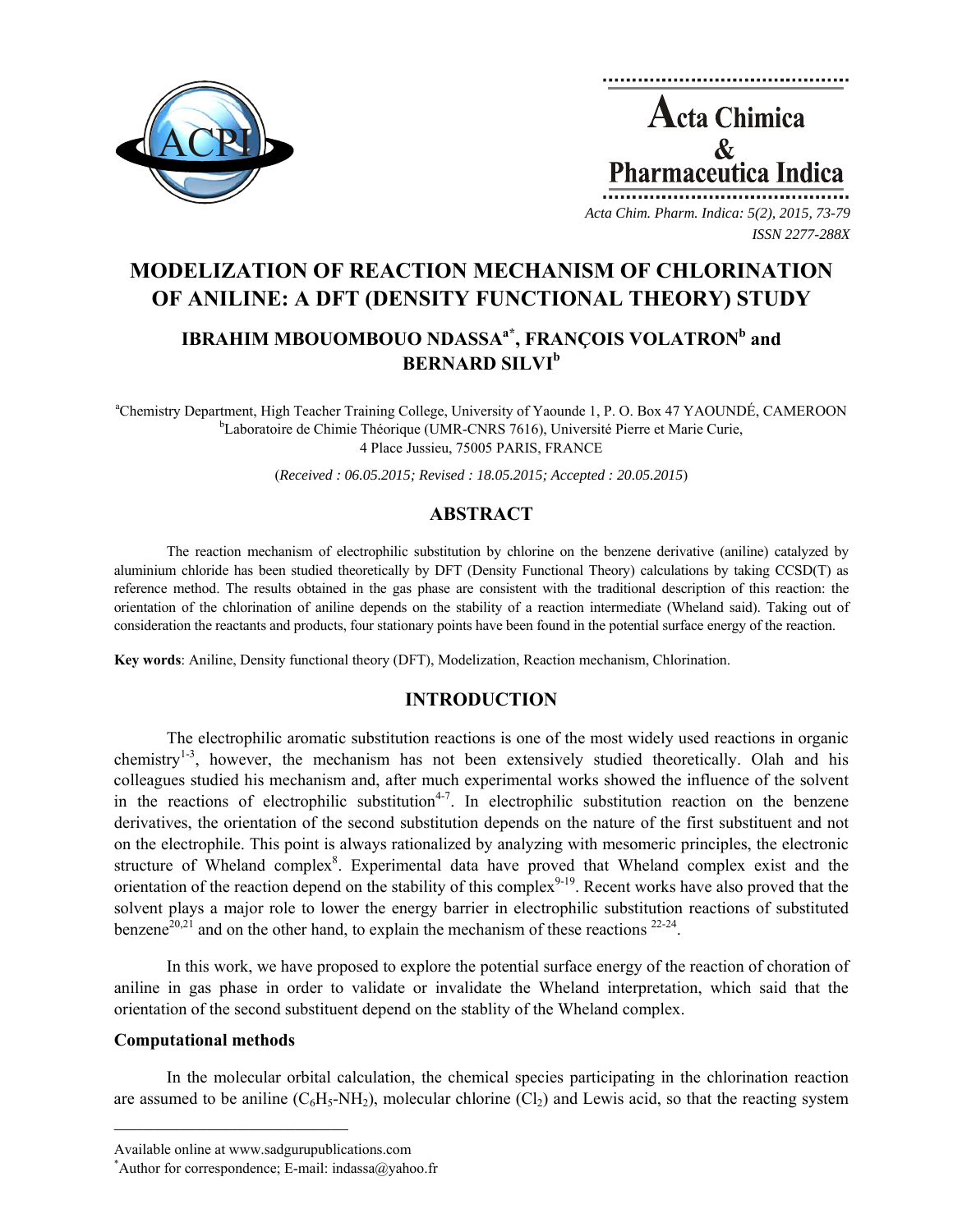



*Acta Chim. Pharm. Indica: 5(2), 2015, 73-79 ISSN 2277-288X*

# **MODELIZATION OF REACTION MECHANISM OF CHLORINATION OF ANILINE: A DFT (DENSITY FUNCTIONAL THEORY) STUDY**

## **IBRAHIM MBOUOMBOUO NDASSA<sup>a\*</sup>, FRANÇOIS VOLATRON<sup>b</sup> and BERNARD SILVI<sup>b</sup>**

<sup>a</sup>Chemistry Department, High Teacher Training College, University of Yaounde 1, P. O. Box 47 YAOUNDÉ, CAMEROON by a barriering do Chimia Théorique (UMP CNPS 7616) Université Pierre et Merie Curie <sup>b</sup>Laboratoire de Chimie Théorique (UMR-CNRS 7616), Université Pierre et Marie Curie, 4 Place Jussieu, 75005 PARIS, FRANCE

(*Received : 06.05.2015; Revised : 18.05.2015; Accepted : 20.05.2015*)

## **ABSTRACT**

The reaction mechanism of electrophilic substitution by chlorine on the benzene derivative (aniline) catalyzed by aluminium chloride has been studied theoretically by DFT (Density Functional Theory) calculations by taking CCSD(T) as reference method. The results obtained in the gas phase are consistent with the traditional description of this reaction: the orientation of the chlorination of aniline depends on the stability of a reaction intermediate (Wheland said). Taking out of consideration the reactants and products, four stationary points have been found in the potential surface energy of the reaction.

**Key words**: Aniline, Density functional theory (DFT), Modelization, Reaction mechanism, Chlorination.

## **INTRODUCTION**

The electrophilic aromatic substitution reactions is one of the most widely used reactions in organic chemistry<sup>1-3</sup>, however, the mechanism has not been extensively studied theoretically. Olah and his colleagues studied his mechanism and, after much experimental works showed the influence of the solvent in the reactions of electrophilic substitution<sup>4-7</sup>. In electrophilic substitution reaction on the benzene derivatives, the orientation of the second substitution depends on the nature of the first substituent and not on the electrophile. This point is always rationalized by analyzing with mesomeric principles, the electronic structure of Wheland complex<sup>8</sup>. Experimental data have proved that Wheland complex exist and the orientation of the reaction depend on the stability of this complex<sup>9-19</sup>. Recent works have also proved that the solvent plays a major role to lower the energy barrier in electrophilic substitution reactions of substituted benzene<sup>20,21</sup> and on the other hand, to explain the mechanism of these reactions  $22-24$ .

In this work, we have proposed to explore the potential surface energy of the reaction of choration of aniline in gas phase in order to validate or invalidate the Wheland interpretation, which said that the orientation of the second substituent depend on the stablity of the Wheland complex.

### **Computational methods**

In the molecular orbital calculation, the chemical species participating in the chlorination reaction are assumed to be aniline  $(C_6H_5-NH_2)$ , molecular chlorine  $(C_1)_2$  and Lewis acid, so that the reacting system

 $\mathcal{L} = \{ \mathcal{L} \}$ 

Available online at www.sadgurupublications.com \*

<sup>\*</sup>Author for correspondence; E-mail: indassa@yahoo.fr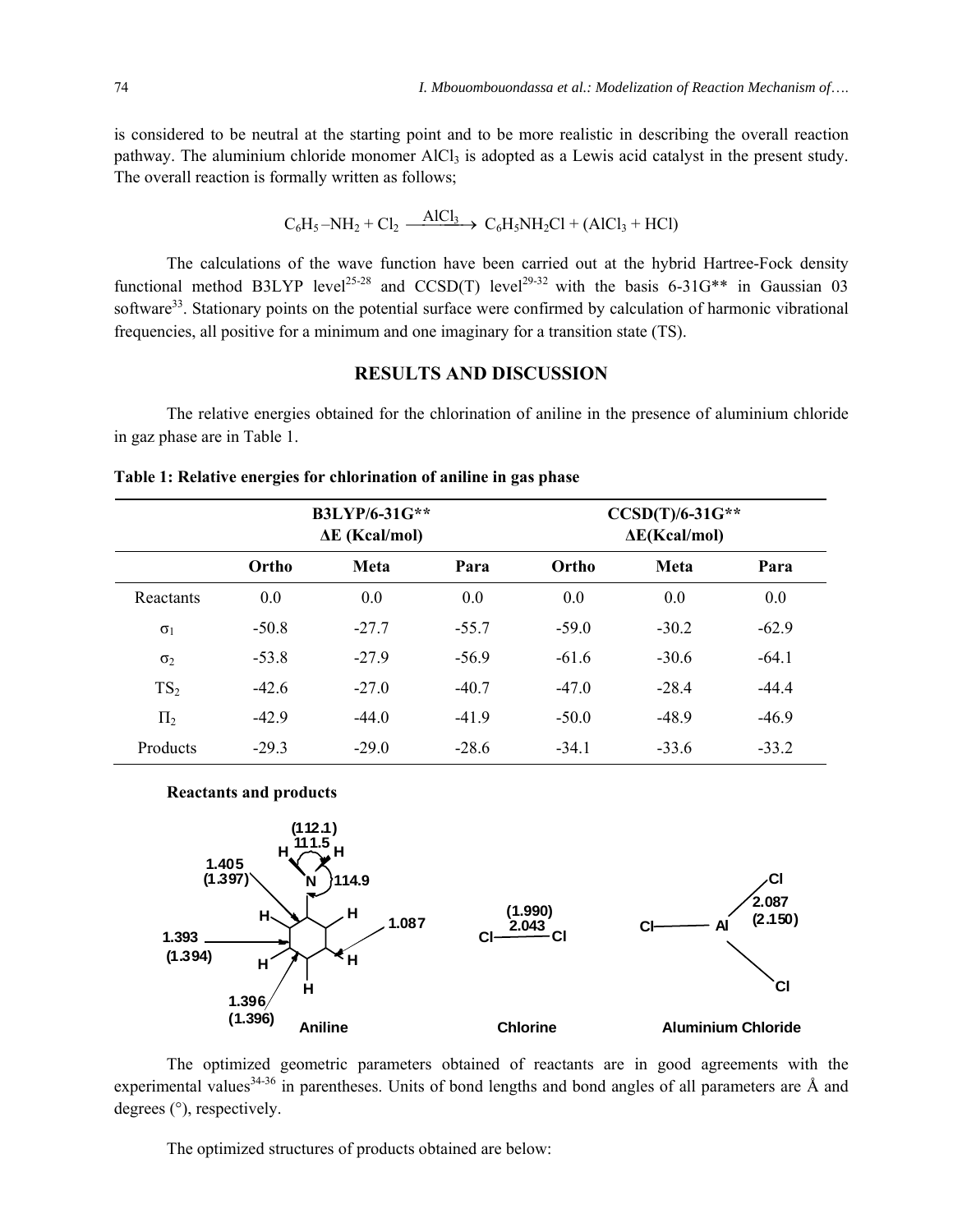is considered to be neutral at the starting point and to be more realistic in describing the overall reaction pathway. The aluminium chloride monomer AlCl<sub>3</sub> is adopted as a Lewis acid catalyst in the present study. The overall reaction is formally written as follows;

$$
C_6H_5-NH_2 + Cl_2 \xrightarrow{AICl_3} C_6H_5NH_2Cl + (AlCl_3 + HCl)
$$

The calculations of the wave function have been carried out at the hybrid Hartree-Fock density functional method B3LYP level<sup>25-28</sup> and CCSD(T) level<sup>29-32</sup> with the basis 6-31G\*\* in Gaussian 03 software<sup>33</sup>. Stationary points on the potential surface were confirmed by calculation of harmonic vibrational frequencies, all positive for a minimum and one imaginary for a transition state (TS).

#### **RESULTS AND DISCUSSION**

The relative energies obtained for the chlorination of aniline in the presence of aluminium chloride in gaz phase are in Table 1.

|                 | B3LYP/6-31G**<br>$\Delta E$ (Kcal/mol) |             |         | $CCSD(T)/6-31G**$<br>$\Delta E(Kcal/mol)$ |         |         |
|-----------------|----------------------------------------|-------------|---------|-------------------------------------------|---------|---------|
|                 | Ortho                                  | <b>Meta</b> | Para    | Ortho                                     | Meta    | Para    |
| Reactants       | 0.0                                    | 0.0         | 0.0     | 0.0                                       | 0.0     | 0.0     |
| $\sigma_1$      | $-50.8$                                | $-27.7$     | $-55.7$ | $-59.0$                                   | $-30.2$ | $-62.9$ |
| $\sigma_2$      | $-53.8$                                | $-27.9$     | $-56.9$ | $-61.6$                                   | $-30.6$ | $-64.1$ |
| TS <sub>2</sub> | $-42.6$                                | $-27.0$     | $-40.7$ | $-47.0$                                   | $-28.4$ | $-44.4$ |
| $\Pi_2$         | $-42.9$                                | $-44.0$     | $-41.9$ | $-50.0$                                   | $-48.9$ | $-46.9$ |
| Products        | $-29.3$                                | $-29.0$     | $-28.6$ | $-34.1$                                   | $-33.6$ | $-33.2$ |

**Table 1: Relative energies for chlorination of aniline in gas phase** 

#### **Reactants and products**



The optimized geometric parameters obtained of reactants are in good agreements with the experimental values<sup>34-36</sup> in parentheses. Units of bond lengths and bond angles of all parameters are  $\AA$  and degrees (°), respectively.

The optimized structures of products obtained are below: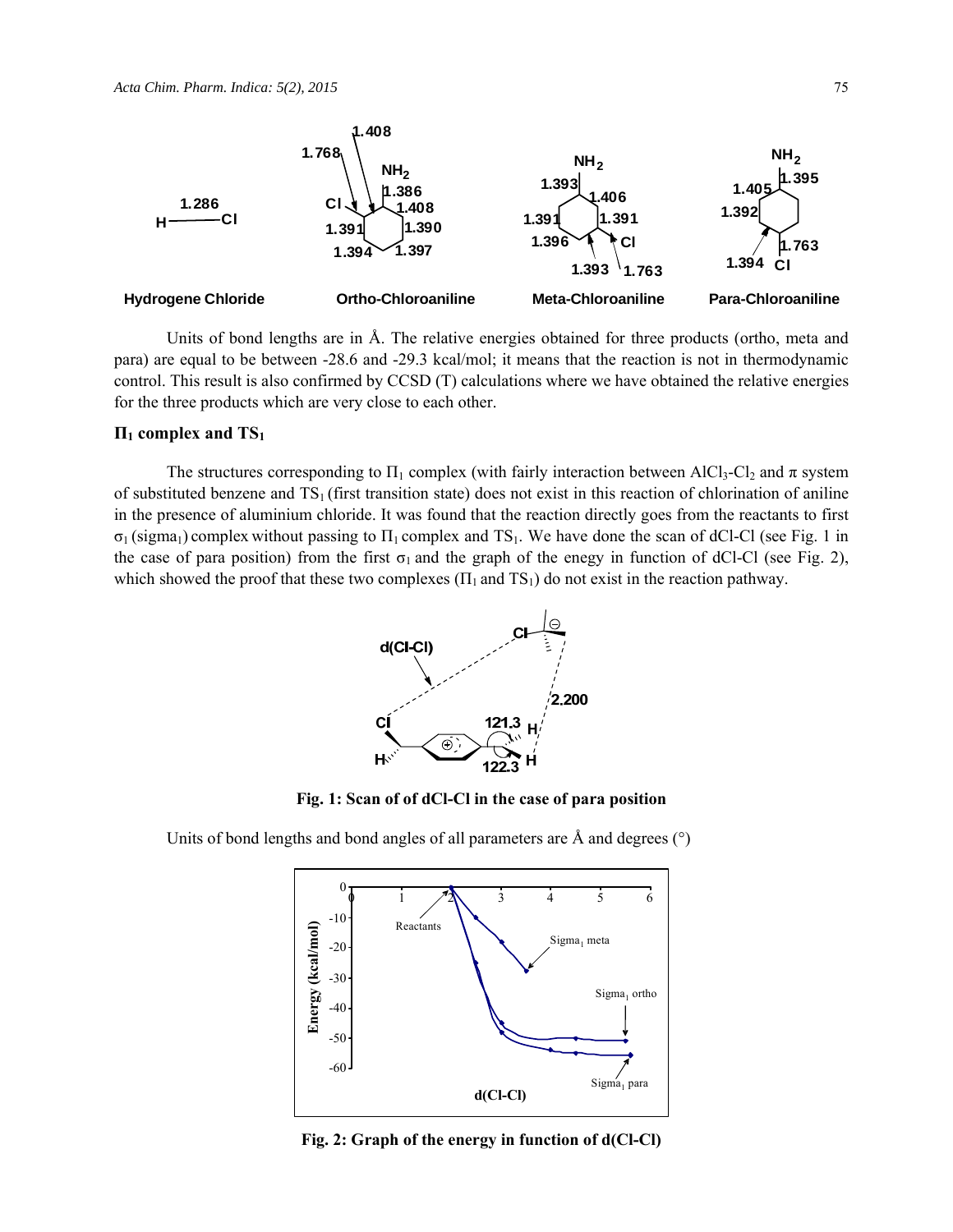

Units of bond lengths are in Å. The relative energies obtained for three products (ortho, meta and para) are equal to be between -28.6 and -29.3 kcal/mol; it means that the reaction is not in thermodynamic control. This result is also confirmed by CCSD (T) calculations where we have obtained the relative energies for the three products which are very close to each other.

#### **Π1 complex and TS1**

The structures corresponding to  $\Pi_1$  complex (with fairly interaction between AlCl<sub>3</sub>-Cl<sub>2</sub> and  $\pi$  system of substituted benzene and  $TS_1$  (first transition state) does not exist in this reaction of chlorination of aniline in the presence of aluminium chloride. It was found that the reaction directly goes from the reactants to first  $\sigma_1$  (sigma<sub>1</sub>) complex without passing to  $\Pi_1$  complex and TS<sub>1</sub>. We have done the scan of dCl-Cl (see Fig. 1 in the case of para position) from the first  $\sigma_1$  and the graph of the enegy in function of dCl-Cl (see Fig. 2), which showed the proof that these two complexes  $(\Pi_1$  and  $TS_1$ ) do not exist in the reaction pathway.



**Fig. 1: Scan of of dCl-Cl in the case of para position**

Units of bond lengths and bond angles of all parameters are Å and degrees (°)



**Fig. 2: Graph of the energy in function of d(Cl-Cl)**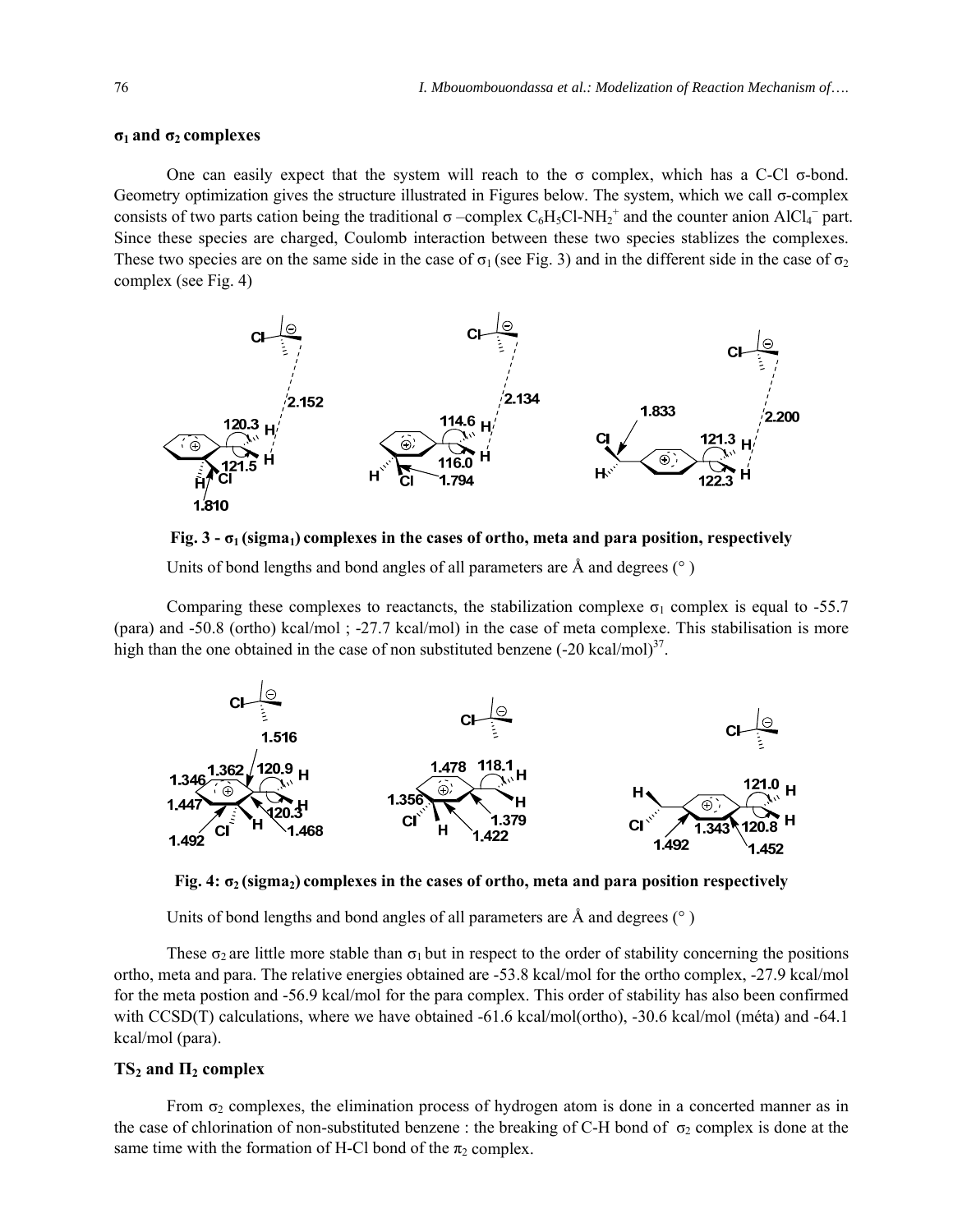#### **σ1 and σ2 complexes**

One can easily expect that the system will reach to the σ complex, which has a C-Cl σ-bond. Geometry optimization gives the structure illustrated in Figures below. The system, which we call  $\sigma$ -complex consists of two parts cation being the traditional  $\sigma$  –complex C<sub>6</sub>H<sub>5</sub>Cl-NH<sub>2</sub><sup>+</sup> and the counter anion AlCl<sub>4</sub><sup>-</sup> part. Since these species are charged, Coulomb interaction between these two species stablizes the complexes. These two species are on the same side in the case of  $\sigma_1$  (see Fig. 3) and in the different side in the case of  $\sigma_2$ complex (see Fig. 4)



**Fig. 3 - σ1 (sigma1) complexes in the cases of ortho, meta and para position, respectively** 

Units of bond lengths and bond angles of all parameters are  $\hat{A}$  and degrees  $(°)$ 

Comparing these complexes to reactancts, the stabilization complexe  $\sigma_1$  complex is equal to -55.7 (para) and -50.8 (ortho) kcal/mol ; -27.7 kcal/mol) in the case of meta complexe. This stabilisation is more high than the one obtained in the case of non substituted benzene  $(-20 \text{ kcal/mol})^{37}$ .



**Fig. 4:**  $σ<sub>2</sub>$  (sigma<sub>2</sub>) complexes in the cases of ortho, meta and para position respectively

Units of bond lengths and bond angles of all parameters are Å and degrees (° )

These  $\sigma_2$  are little more stable than  $\sigma_1$  but in respect to the order of stability concerning the positions ortho, meta and para. The relative energies obtained are -53.8 kcal/mol for the ortho complex, -27.9 kcal/mol for the meta postion and -56.9 kcal/mol for the para complex. This order of stability has also been confirmed with CCSD(T) calculations, where we have obtained -61.6 kcal/mol(ortho), -30.6 kcal/mol (méta) and -64.1 kcal/mol (para).

## **TS2 and Π2 complex**

From  $\sigma_2$  complexes, the elimination process of hydrogen atom is done in a concerted manner as in the case of chlorination of non-substituted benzene : the breaking of C-H bond of  $\sigma_2$  complex is done at the same time with the formation of H-Cl bond of the  $\pi_2$  complex.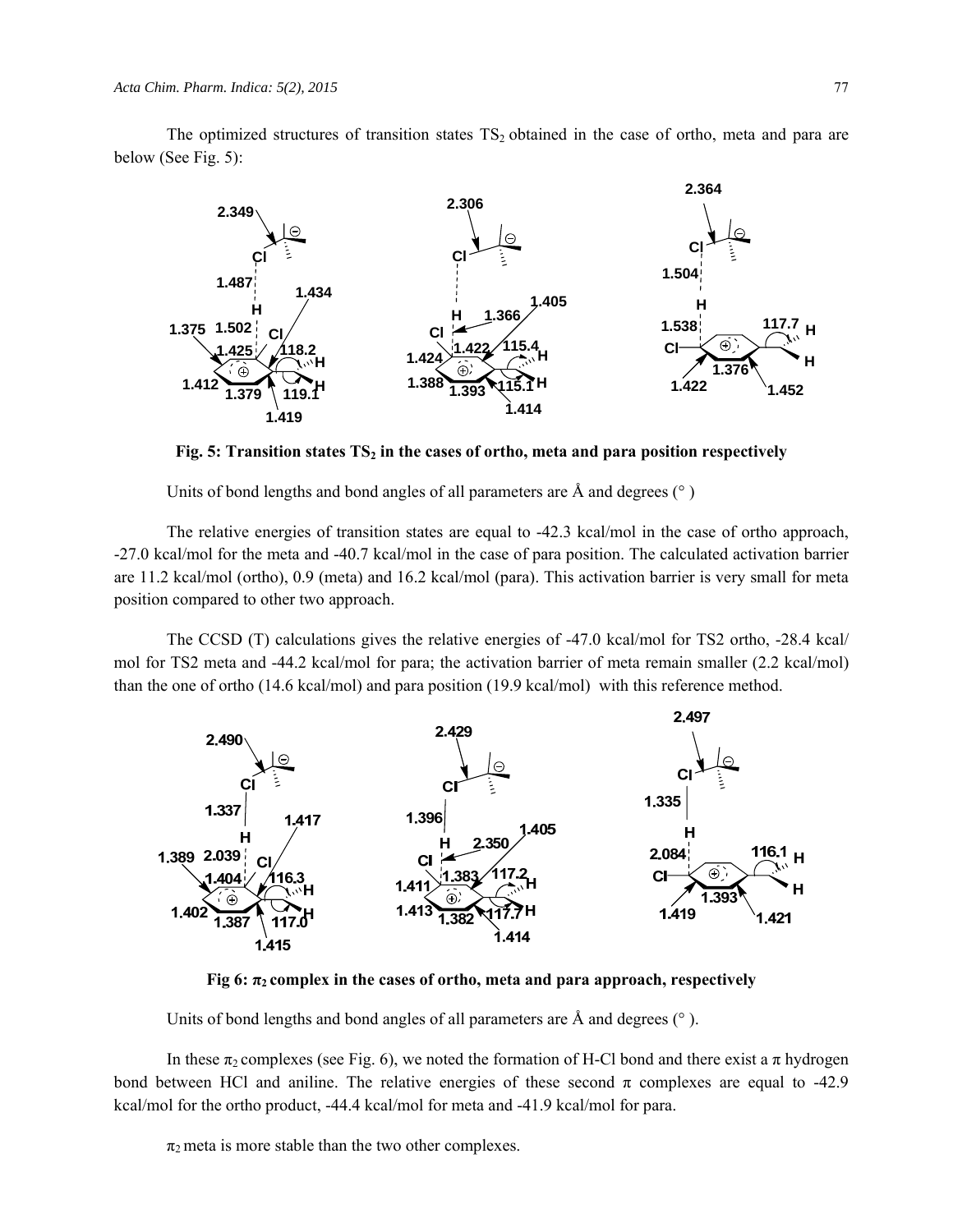The optimized structures of transition states  $TS_2$  obtained in the case of ortho, meta and para are below (See Fig. 5):



Fig. 5: Transition states TS<sub>2</sub> in the cases of ortho, meta and para position respectively

Units of bond lengths and bond angles of all parameters are  $\hat{A}$  and degrees  $(°)$ 

The relative energies of transition states are equal to -42.3 kcal/mol in the case of ortho approach, -27.0 kcal/mol for the meta and -40.7 kcal/mol in the case of para position. The calculated activation barrier are 11.2 kcal/mol (ortho), 0.9 (meta) and 16.2 kcal/mol (para). This activation barrier is very small for meta position compared to other two approach.

The CCSD (T) calculations gives the relative energies of -47.0 kcal/mol for TS2 ortho, -28.4 kcal/ mol for TS2 meta and -44.2 kcal/mol for para; the activation barrier of meta remain smaller (2.2 kcal/mol) than the one of ortho (14.6 kcal/mol) and para position (19.9 kcal/mol) with this reference method.



Fig 6:  $\pi_2$  complex in the cases of ortho, meta and para approach, respectively

Units of bond lengths and bond angles of all parameters are  $\AA$  and degrees ( $\degree$ ).

In these  $\pi_2$  complexes (see Fig. 6), we noted the formation of H-Cl bond and there exist a  $\pi$  hydrogen bond between HCl and aniline. The relative energies of these second  $\pi$  complexes are equal to -42.9 kcal/mol for the ortho product, -44.4 kcal/mol for meta and -41.9 kcal/mol for para.

 $\pi_2$  meta is more stable than the two other complexes.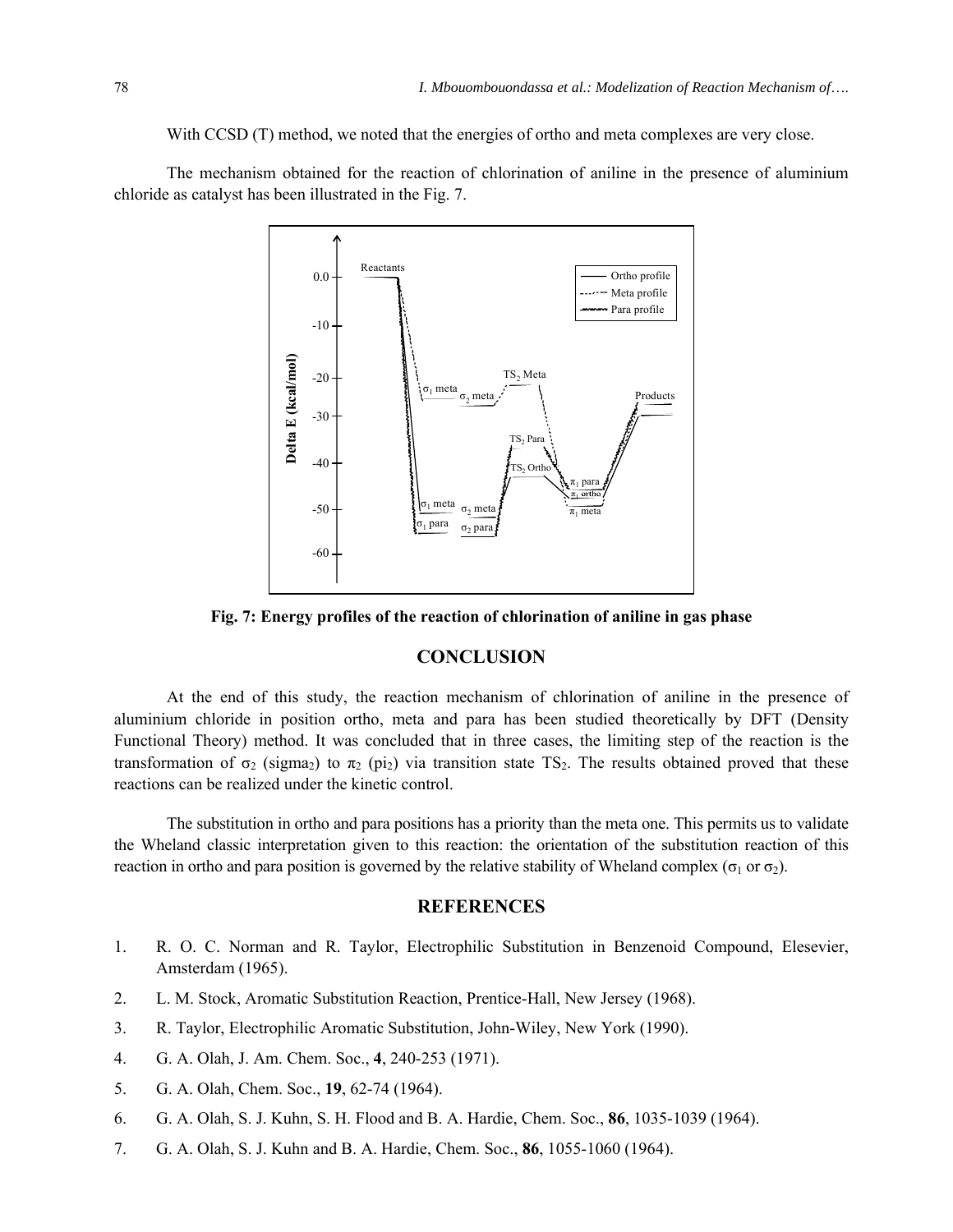With CCSD (T) method, we noted that the energies of ortho and meta complexes are very close.

The mechanism obtained for the reaction of chlorination of aniline in the presence of aluminium chloride as catalyst has been illustrated in the Fig. 7.



**Fig. 7: Energy profiles of the reaction of chlorination of aniline in gas phase** 

#### **CONCLUSION**

At the end of this study, the reaction mechanism of chlorination of aniline in the presence of aluminium chloride in position ortho, meta and para has been studied theoretically by DFT (Density Functional Theory) method. It was concluded that in three cases, the limiting step of the reaction is the transformation of  $\sigma_2$  (sigma<sub>2</sub>) to  $\pi_2$  (pi<sub>2</sub>) via transition state TS<sub>2</sub>. The results obtained proved that these reactions can be realized under the kinetic control.

The substitution in ortho and para positions has a priority than the meta one. This permits us to validate the Wheland classic interpretation given to this reaction: the orientation of the substitution reaction of this reaction in ortho and para position is governed by the relative stability of Wheland complex (σ<sub>1</sub> or σ<sub>2</sub>).

#### **REFERENCES**

- 1. R. O. C. Norman and R. Taylor, Electrophilic Substitution in Benzenoid Compound, Elesevier, Amsterdam (1965).
- 2. L. M. Stock, Aromatic Substitution Reaction, Prentice-Hall, New Jersey (1968).
- 3. R. Taylor, Electrophilic Aromatic Substitution, John-Wiley, New York (1990).
- 4. G. A. Olah, J. Am. Chem. Soc., **4**, 240-253 (1971).
- 5. G. A. Olah, Chem. Soc., **19**, 62-74 (1964).
- 6. G. A. Olah, S. J. Kuhn, S. H. Flood and B. A. Hardie, Chem. Soc., **86**, 1035-1039 (1964).
- 7. G. A. Olah, S. J. Kuhn and B. A. Hardie, Chem. Soc., **86**, 1055-1060 (1964).